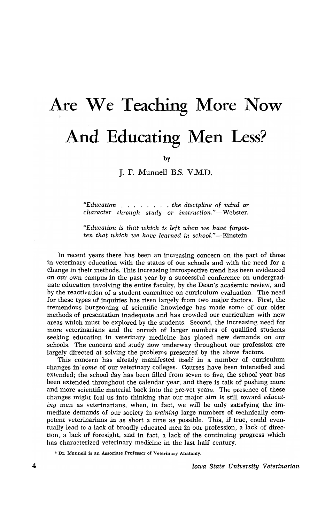## Are We Teaching More Now **And Educating Men Less?**

by

J. F. Munnell B.S. V.M.D.

*"Education* . . . . . *the discipline* of *mind* or *character through study* or instruction."-Webster.

*"Education is that which is left when we have forgotten that which we have learned in school."-Einstein.* 

In recent years there has been an increasing concern on the part of those in veterinary education with the status of our schools and with the need for a change in their methods. This increasing introspective trend has been evidenced on our own campus in the past year by a successful conference on undergraduate education involving the entire faculty, by the Dean's academic review, and by the reactivation of a student committee on curriculum evaluation. The need for these types of inquiries has risen largely from two major factors. First, the tremendous burgeoning of scientific knowledge has made some of our older methods of presentation inadequate and has crowded our curriculum with new areas which must be explored by the students. Second, the increasing need for more veterinarians and the onrush of larger numbers of qualified students seeking education in veterinary medicine has placed new demands on our schools. The concern and study now underway throughout our profession are largely directed at solving the problems presented by the above factors.

This concern has already manifested itself in a number of curriculum changes in *some* of our veterinary colleges. Courses have been intensified and extended; the school day has been filled from seven to five, the school year has been extended throughout the calendar year, and there is talk of pushing more and more scientific material back into the pre-vet years. The presence of these changes might fool us into thinking that our major aim is still toward *educating* men as veterinarians, when, in fact, we will be only satisfying the immediate demands of our society in *training* large numbers of technically competent veterinarians in as short a time as possible. This, if true, could eventually lead to a lack of broadly educated men in our profession, a lack of direction,. a lack of foresight, and in fact, a lack of the continuing progress which has characterized veterinary medicine in the last half century.

\* Dr. Munnell is an Associate Professor of Veterinary Anatomy.

*Iowa State University Veterinarian*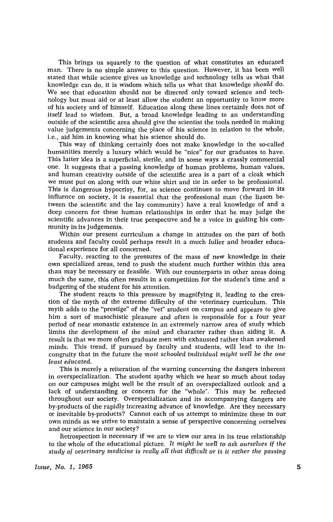This brings us squarely to the question of what constitutes an educated man. There is no simple answer to this question. However, it has been well stated that while science gives us knowledge and technology tells us what that knowledge can do, it is wisdom which tells us what that knowledge *should* do. We see that education should not be directed only toward science and technology but must aid or at least allow the student an opportunity to know more of his society and of himself. Education along these lines certainly does not of itself lead to wisdom. But, a broad knowledge leading to an understanding outside of the scientific area should give the scientist the tools needed in making value judgements concerning the place of his science in relation to the whole, i.e., aid him in knowing what his science should do.

This way of thinking certainly does not make knowledge in the so-called humanities merely a luxury which would be "nice" for our graduates to have. This latter idea is a superficial, sterile, and in some ways a crassly commercial one. It suggests that a passing knowledge of human problems, human values, and human creativity outside of the scientific area is a part of a cloak which *we* must put on along with our white shirt and tie in order to be professional. This is dangerous hypocrisy, for, as science continues to move forward in its influence on society, it is essential that the professional man (the liason between the scientific and the lay community) have a real knowledge of and a deep concern for these human relationships in order that he may judge the scientific advances in their true perspective and be a voice in guiding his community in its judgements.

Within our present curriculum a change in attitudes on the part of both students and faculty could perhaps result in a much fuller and broader educational experience for all concerned.

Faculty, reacting to the pressures of the mass of new knowledge in their own specialized areas, tend to push the student much further within this area than may be necessary or feasible. With our counterparts in other areas doing much the same, this often results in a competition for the student's time and a badgering of the student for his attention.

The student reacts to this pressure by magnifying it, leading to the creation of the myth of the extreme difficulty of the veterinary curriculum. This myth adds to the "prestige" of the "vet" student on campus and appears to give him a sort of masochistic pleasure and often is responsible for a four year period of near monastic existence in an extremely narrow area of study which limits the development of the mind and character rather than aiding it. A result is that we more often graduate men with exhausted rather than awakened minds. This trend, if pursued by faculty and students, will lead to the incongruity that in the future the *most schooled individual might well be the one least educated.* 

This is merely a reiteration of the warning concerning the dangers inherent in overspecialization. The student apathy which we hear so much about today on our campuses might well be the result of an overspecialized outlook and a lack of understanding or concern for the "whole". This may be reflected throughout our society. Overspecialization and its accompanying dangers are by-products of the rapidly increasing advance of knowledge. Are they necessary or inevitable by-products? Cannot each of us attempt to minimize these in our. own minds as we strive to maintain a sense of perspective concerning ourselves and our science in our society?

Retrospection is necessary if we are to view our area in its true relationship to the whole of the educational picture. It *might be well* to *ask ourselves* if *the study* of *veterinarzJ medicine* is *really all tlzat difficult* or is *it rather the passing*